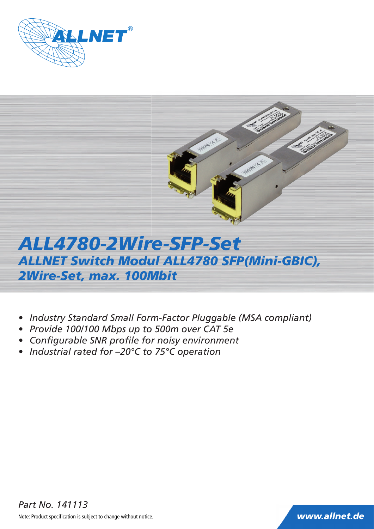



# *ALL4780-2Wire-SFP-Set ALLNET Switch Modul ALL4780 SFP(Mini-GBIC), 2Wire-Set, max. 100Mbit*

- *Industry Standard Small Form-Factor Pluggable (MSA compliant)*
- *Provide 100/100 Mbps up to 500m over CAT 5e*
- Configurable SNR profile for noisy environment
- *Industrial rated for –20°C to 75°C operation*

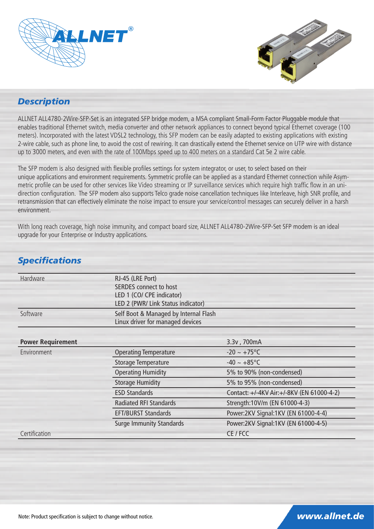



### *Description*

ALLNET ALL4780-2Wire-SFP-Set is an integrated SFP bridge modem, a MSA compliant Small-Form Factor Pluggable module that enables traditional Ethernet switch, media converter and other network appliances to connect beyond typical Ethernet coverage (100 meters). Incorporated with the latest VDSL2 technology, this SFP modem can be easily adapted to existing applications with existing 2-wire cable, such as phone line, to avoid the cost of rewiring. It can drastically extend the Ethernet service on UTP wire with distance up to 3000 meters, and even with the rate of 100Mbps speed up to 400 meters on a standard Cat 5e 2 wire cable.

The SFP modem is also designed with flexible profiles settings for system integrator, or user, to select based on their unique applications and environment requirements. Symmetric profile can be applied as a standard Ethernet connection while Asymmetric profile can be used for other services like Video streaming or IP surveillance services which require high traffic flow in an unidirection configuration. The SFP modem also supports Telco grade noise cancellation techniques like Interleave, high SNR profile, and retransmission that can effectively eliminate the noise impact to ensure your service/control messages can securely deliver in a harsh environment.

With long reach coverage, high noise immunity, and compact board size, ALLNET ALL4780-2Wire-SFP-Set SFP modem is an ideal upgrade for your Enterprise or Industry applications.

| <b>Hardware</b>          | RJ-45 (LRE Port)                      |                                           |
|--------------------------|---------------------------------------|-------------------------------------------|
|                          | SERDES connect to host                |                                           |
|                          | LED 1 (CO/ CPE indicator)             |                                           |
|                          | LED 2 (PWR/ Link Status indicator)    |                                           |
| Software                 | Self Boot & Managed by Internal Flash |                                           |
|                          | Linux driver for managed devices      |                                           |
|                          |                                       |                                           |
| <b>Power Requirement</b> |                                       | 3.3v, 700mA                               |
| Environment              | <b>Operating Temperature</b>          | $-20 \sim +75^{\circ}C$                   |
|                          | <b>Storage Temperature</b>            | $-40 \sim +85^{\circ}C$                   |
|                          | <b>Operating Humidity</b>             | 5% to 90% (non-condensed)                 |
|                          | <b>Storage Humidity</b>               | 5% to 95% (non-condensed)                 |
|                          | <b>ESD Standards</b>                  | Contact: +/-4KV Air:+/-8KV (EN 61000-4-2) |
|                          | <b>Radiated RFI Standards</b>         | Strength:10V/m (EN 61000-4-3)             |
|                          | <b>EFT/BURST Standards</b>            | Power:2KV Signal:1KV (EN 61000-4-4)       |
|                          | <b>Surge Immunity Standards</b>       | Power:2KV Signal:1KV (EN 61000-4-5)       |
| Certification            |                                       | CE / FCC                                  |

# **Specifications**